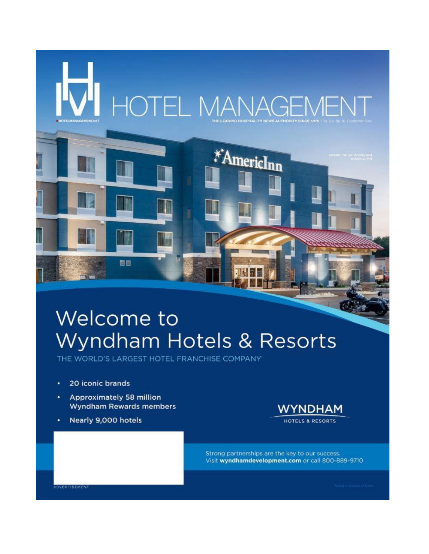

## Welcome to Wyndham Hotels & Resorts

THE WORLD'S LARGEST HOTEL FRANCHISE COMPANY

- 20 iconic brands ٠
- **Approximately 58 million Wyndham Rewards members**
- Nearly 9,000 hotels



Strong partnerships are the key to our success. Visit wyndhamdevelopment.com or call 800-889-9710

**ADVERTISEMENT**